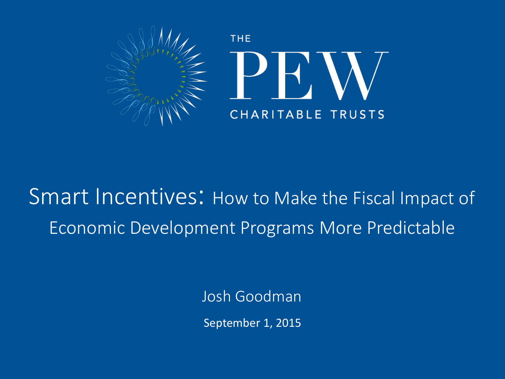

### Smart Incentives: How to Make the Fiscal Impact of Economic Development Programs More Predictable

Josh Goodman

September 1, 2015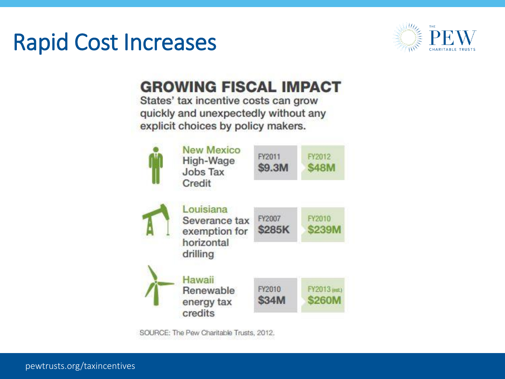### Rapid Cost Increases



#### **GROWING FISCAL IMPACT**

States' tax incentive costs can grow quickly and unexpectedly without any explicit choices by policy makers.



SOURCE: The Pew Charitable Trusts, 2012.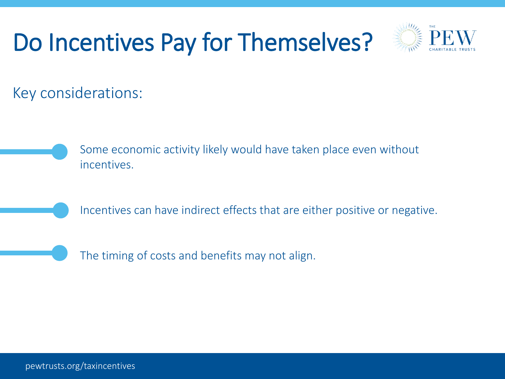## Do Incentives Pay for Themselves?



Key considerations:

Some economic activity likely would have taken place even without incentives.

Incentives can have indirect effects that are either positive or negative.

The timing of costs and benefits may not align.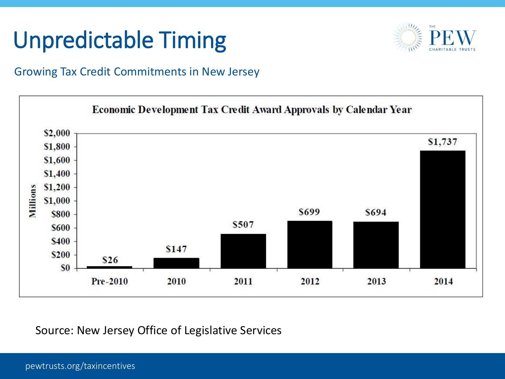### Unpredictable Timing



#### Growing Tax Credit Commitments in New Jersey



Source: New Jersey Office of Legislative Services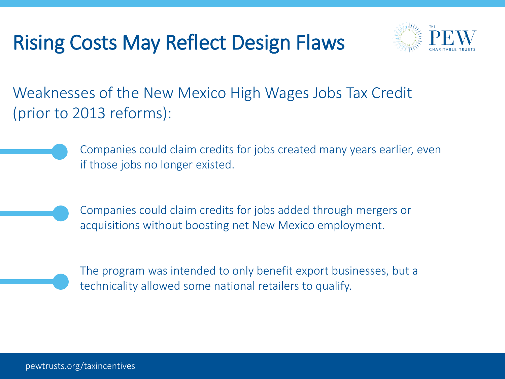#### Rising Costs May Reflect Design Flaws



Weaknesses of the New Mexico High Wages Jobs Tax Credit (prior to 2013 reforms):

> Companies could claim credits for jobs created many years earlier, even if those jobs no longer existed.

Companies could claim credits for jobs added through mergers or acquisitions without boosting net New Mexico employment.



The program was intended to only benefit export businesses, but a technicality allowed some national retailers to qualify.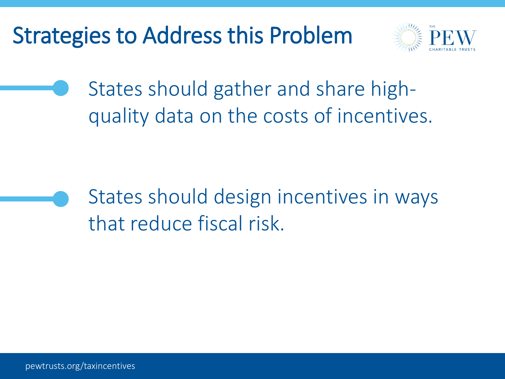### Strategies to Address this Problem



States should gather and share highquality data on the costs of incentives.

States should design incentives in ways that reduce fiscal risk.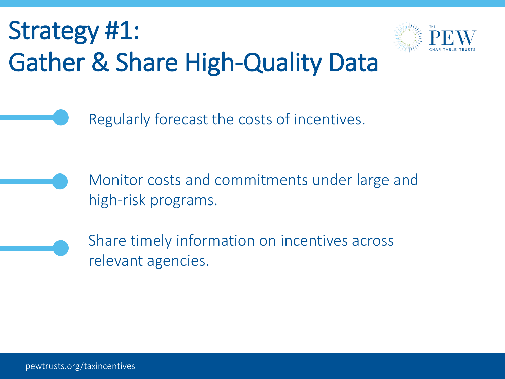# Strategy #1: Gather & Share High-Quality Data



Regularly forecast the costs of incentives.

Monitor costs and commitments under large and high-risk programs.

Share timely information on incentives across relevant agencies.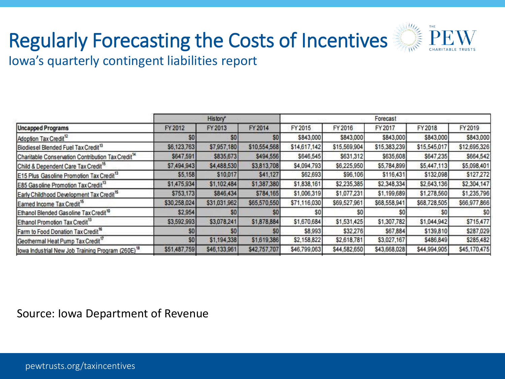### Regularly Forecasting the Costs of Incentives



Iowa's quarterly contingent liabilities report

|                                                               | <b>History</b> * |                |                | Forecast     |              |              |              |              |
|---------------------------------------------------------------|------------------|----------------|----------------|--------------|--------------|--------------|--------------|--------------|
| <b>Uncapped Programs</b>                                      | FY 2012          | FY 2013        | FY 2014        | FY 2015      | FY 2016      | FY2017       | FY 2018      | FY2019       |
| Adoption Tax Credit <sup>12</sup>                             | SO               | \$0            | SO.            | \$843,000    | \$843,000    | \$843,000    | \$843,000    | \$843,000    |
| Biodiesel Blended Fuel Tax Credit <sup>13</sup>               | \$6,123,763      | \$7,957,180    | \$10,554,568   | \$14,617,142 | \$15,569,904 | \$15,383,239 | \$15,545,017 | \$12,695,326 |
| Charitable Conservation Contribution Tax Credit <sup>14</sup> | \$647,591        | \$835,673      | \$494,556      | \$646,545    | \$631,312    | \$635,608    | \$647,235    | \$664,542    |
| Child & Dependent Care Tax Credit <sup>15</sup>               | \$7,494,943      | \$4,488,530    | \$3,813,708    | \$4,094,793  | \$6,225,950  | \$5,784,899  | \$5,447,113  | \$5,098,401  |
| E15 Plus Gasoline Promotion Tax Credit <sup>13</sup>          | \$5,158          | \$10,017       | \$41,127       | \$62,693     | \$96,106     | \$116,431    | \$132,098    | \$127,272    |
| E85 Gas oline Promotion Tax Credit <sup>13</sup>              | \$1,475,934      | \$1,102,484    | \$1,387,380    | \$1,838,161  | \$2,235,385  | \$2,348,334  | \$2,643,136  | \$2,304,147  |
| Early Childhood Development Tax Credit <sup>15</sup>          | \$753,173        | \$846,434      | \$784,165      | \$1,006,319  | \$1,077,231  | \$1,199,689  | \$1,278,560  | \$1,235,796  |
| Earned Income Tax Credit <sup>15</sup>                        | \$30,258,024     | \$31,031,962   | \$65,570,550   | \$71,116,030 | \$69,527,961 | \$68,558,941 | \$68,728,505 | \$66,977,866 |
| Ethanol Blended Gasoline Tax Credit <sup>10</sup>             | \$2,954          | S <sub>0</sub> | S0             |              |              |              | SO.          | SO.          |
| Ethanol Promotion Tax Credit <sup>13</sup>                    | \$3,592,993      | \$3,078,241    | \$1,878,884    | \$1,670,684  | \$1,531,425  | \$1,307,782  | \$1,044,942  | \$715,477    |
| Farm to Food Donation Tax Credit <sup>16</sup>                | <b>SO</b>        | \$0            | S <sub>0</sub> | \$8,993      | \$32,276     | \$67,884     | \$139,810    | \$287,029    |
| Geothermal Heat Pump Tax Credit <sup>17</sup>                 | \$0 <sub>1</sub> | \$1,194,338    | \$1,619,386    | \$2,158,822  | \$2,618,781  | \$3,027,167  | \$486,849    | \$285,482    |
| lowa Industrial New Job Training Program (260E) <sup>18</sup> | \$51,487,759     | \$46,133,961   | \$42,757,707   | \$46,799,063 | \$44,582,650 | \$43,668,028 | \$44,994,905 | \$45,170,475 |

Source: Iowa Department of Revenue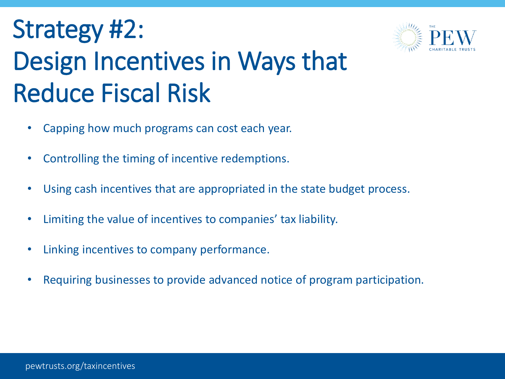# Strategy #2: Design Incentives in Ways that Reduce Fiscal Risk

- Capping how much programs can cost each year.
- Controlling the timing of incentive redemptions.
- Using cash incentives that are appropriated in the state budget process.
- Limiting the value of incentives to companies' tax liability.
- Linking incentives to company performance.
- Requiring businesses to provide advanced notice of program participation.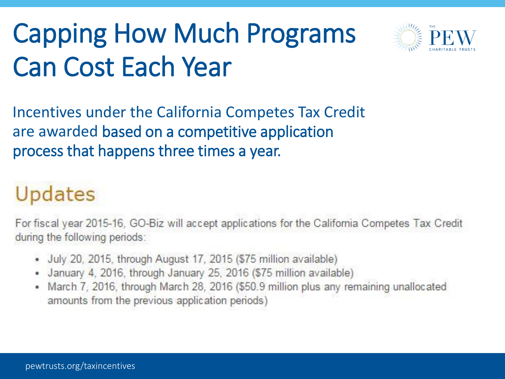# Capping How Much Programs Can Cost Each Year



Incentives under the California Competes Tax Credit are awarded based on a competitive application process that happens three times a year.

## Updates

For fiscal year 2015-16, GO-Biz will accept applications for the California Competes Tax Credit during the following periods:

- July 20, 2015, through August 17, 2015 (\$75 million available)
- January 4, 2016, through January 25, 2016 (\$75 million available)
- March 7, 2016, through March 28, 2016 (\$50.9 million plus any remaining unallocated ٠ amounts from the previous application periods)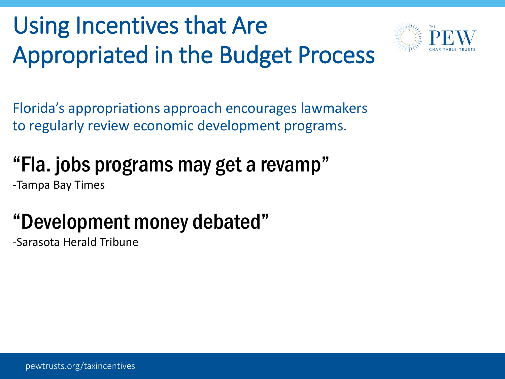# Using Incentives that Are Appropriated in the Budget Process



Florida's appropriations approach encourages lawmakers to regularly review economic development programs.

### "Fla. jobs programs may get a revamp"

-Tampa Bay Times

### "Development money debated"

-Sarasota Herald Tribune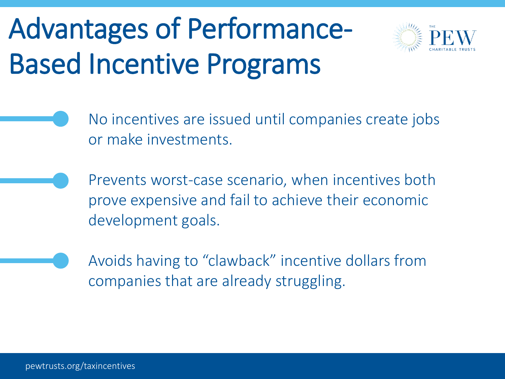# Advantages of Performance-Based Incentive Programs



- No incentives are issued until companies create jobs or make investments.
	- Prevents worst-case scenario, when incentives both prove expensive and fail to achieve their economic development goals.
- Avoids having to "clawback" incentive dollars from companies that are already struggling.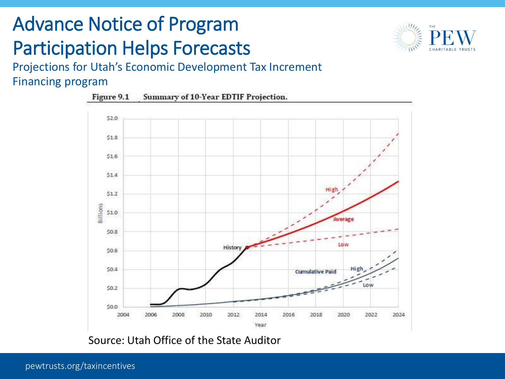### Advance Notice of Program Participation Helps Forecasts



Projections for Utah's Economic Development Tax Increment Financing program



Source: Utah Office of the State Auditor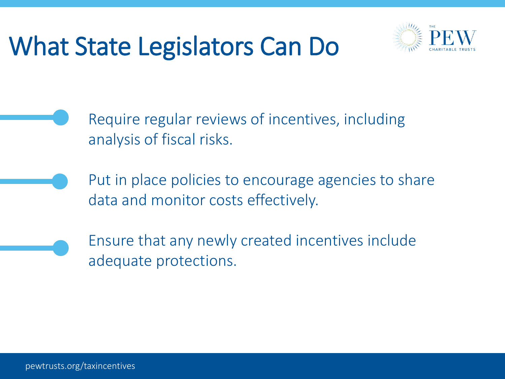# What State Legislators Can Do



- Require regular reviews of incentives, including analysis of fiscal risks.
- Put in place policies to encourage agencies to share data and monitor costs effectively.
- Ensure that any newly created incentives include adequate protections.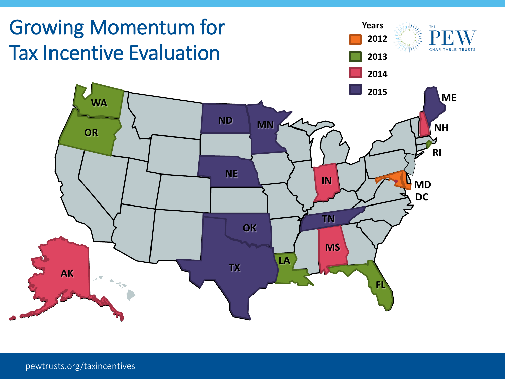

pewtrusts.org/taxincentives